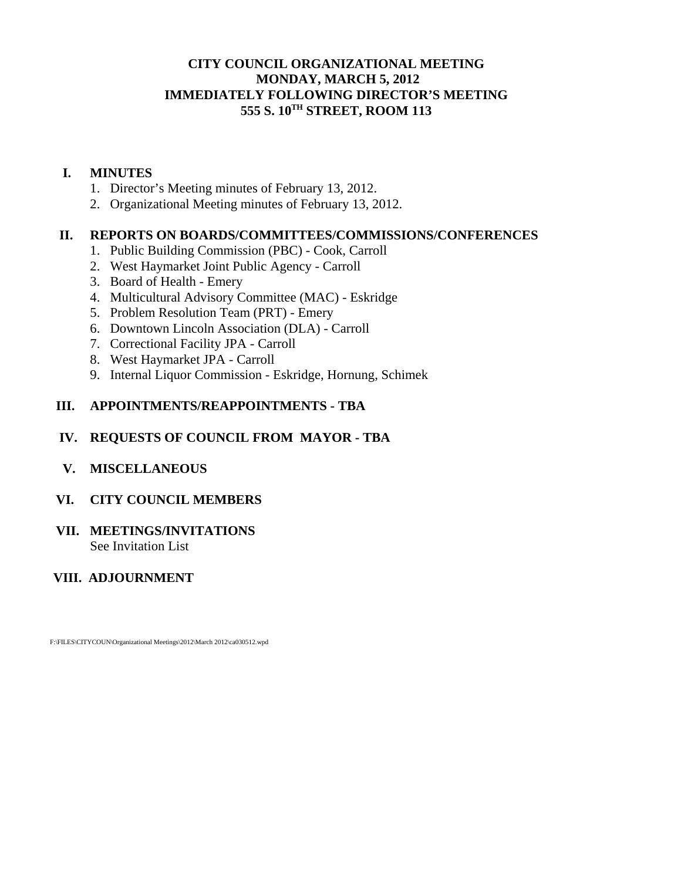# **CITY COUNCIL ORGANIZATIONAL MEETING MONDAY, MARCH 5, 2012 IMMEDIATELY FOLLOWING DIRECTOR'S MEETING 555 S. 10TH STREET, ROOM 113**

# **I. MINUTES**

- 1. Director's Meeting minutes of February 13, 2012.
- 2. Organizational Meeting minutes of February 13, 2012.

## **II. REPORTS ON BOARDS/COMMITTEES/COMMISSIONS/CONFERENCES**

- 1. Public Building Commission (PBC) Cook, Carroll
- 2. West Haymarket Joint Public Agency Carroll
- 3. Board of Health Emery
- 4. Multicultural Advisory Committee (MAC) Eskridge
- 5. Problem Resolution Team (PRT) Emery
- 6. Downtown Lincoln Association (DLA) Carroll
- 7. Correctional Facility JPA Carroll
- 8. West Haymarket JPA Carroll
- 9. Internal Liquor Commission Eskridge, Hornung, Schimek

# **III. APPOINTMENTS/REAPPOINTMENTS - TBA**

# **IV. REQUESTS OF COUNCIL FROM MAYOR - TBA**

# **V. MISCELLANEOUS**

#### **VI. CITY COUNCIL MEMBERS**

#### **VII. MEETINGS/INVITATIONS**  See Invitation List

# **VIII. ADJOURNMENT**

F:\FILES\CITYCOUN\Organizational Meetings\2012\March 2012\ca030512.wpd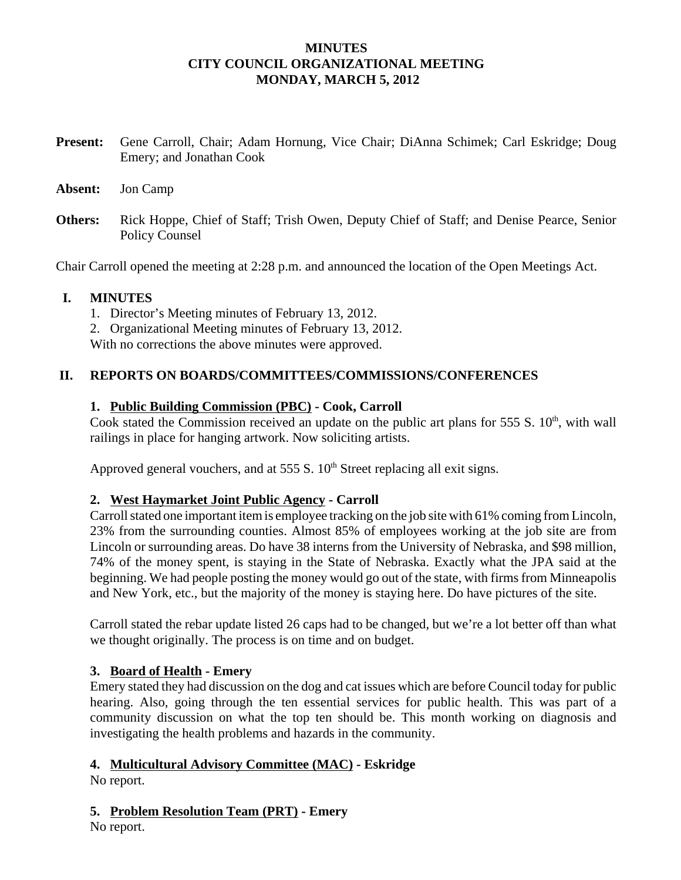## **MINUTES CITY COUNCIL ORGANIZATIONAL MEETING MONDAY, MARCH 5, 2012**

- **Present:** Gene Carroll, Chair; Adam Hornung, Vice Chair; DiAnna Schimek; Carl Eskridge; Doug Emery; and Jonathan Cook
- **Absent:** Jon Camp
- **Others:** Rick Hoppe, Chief of Staff; Trish Owen, Deputy Chief of Staff; and Denise Pearce, Senior Policy Counsel

Chair Carroll opened the meeting at 2:28 p.m. and announced the location of the Open Meetings Act.

## **I. MINUTES**

- 1. Director's Meeting minutes of February 13, 2012.
- 2. Organizational Meeting minutes of February 13, 2012.

With no corrections the above minutes were approved.

## **II. REPORTS ON BOARDS/COMMITTEES/COMMISSIONS/CONFERENCES**

## **1. Public Building Commission (PBC) - Cook, Carroll**

Cook stated the Commission received an update on the public art plans for 555 S.  $10<sup>th</sup>$ , with wall railings in place for hanging artwork. Now soliciting artists.

Approved general vouchers, and at 555 S.  $10<sup>th</sup>$  Street replacing all exit signs.

# **2. West Haymarket Joint Public Agency - Carroll**

Carroll stated one important item is employee tracking on the job site with 61% coming from Lincoln, 23% from the surrounding counties. Almost 85% of employees working at the job site are from Lincoln or surrounding areas. Do have 38 interns from the University of Nebraska, and \$98 million, 74% of the money spent, is staying in the State of Nebraska. Exactly what the JPA said at the beginning. We had people posting the money would go out of the state, with firms from Minneapolis and New York, etc., but the majority of the money is staying here. Do have pictures of the site.

Carroll stated the rebar update listed 26 caps had to be changed, but we're a lot better off than what we thought originally. The process is on time and on budget.

#### **3. Board of Health - Emery**

Emery stated they had discussion on the dog and cat issues which are before Council today for public hearing. Also, going through the ten essential services for public health. This was part of a community discussion on what the top ten should be. This month working on diagnosis and investigating the health problems and hazards in the community.

#### **4. Multicultural Advisory Committee (MAC) - Eskridge**

No report.

# **5. Problem Resolution Team (PRT) - Emery**

No report.